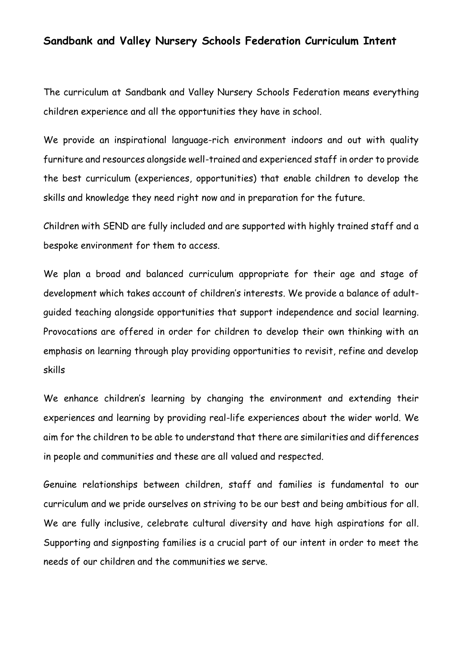# **Sandbank and Valley Nursery Schools Federation Curriculum Intent**

The curriculum at Sandbank and Valley Nursery Schools Federation means everything children experience and all the opportunities they have in school.

We provide an inspirational language-rich environment indoors and out with quality furniture and resources alongside well-trained and experienced staff in order to provide the best curriculum (experiences, opportunities) that enable children to develop the skills and knowledge they need right now and in preparation for the future.

Children with SEND are fully included and are supported with highly trained staff and a bespoke environment for them to access.

We plan a broad and balanced curriculum appropriate for their age and stage of development which takes account of children's interests. We provide a balance of adultguided teaching alongside opportunities that support independence and social learning. Provocations are offered in order for children to develop their own thinking with an emphasis on learning through play providing opportunities to revisit, refine and develop skills

We enhance children's learning by changing the environment and extending their experiences and learning by providing real-life experiences about the wider world. We aim for the children to be able to understand that there are similarities and differences in people and communities and these are all valued and respected.

Genuine relationships between children, staff and families is fundamental to our curriculum and we pride ourselves on striving to be our best and being ambitious for all. We are fully inclusive, celebrate cultural diversity and have high aspirations for all. Supporting and signposting families is a crucial part of our intent in order to meet the needs of our children and the communities we serve.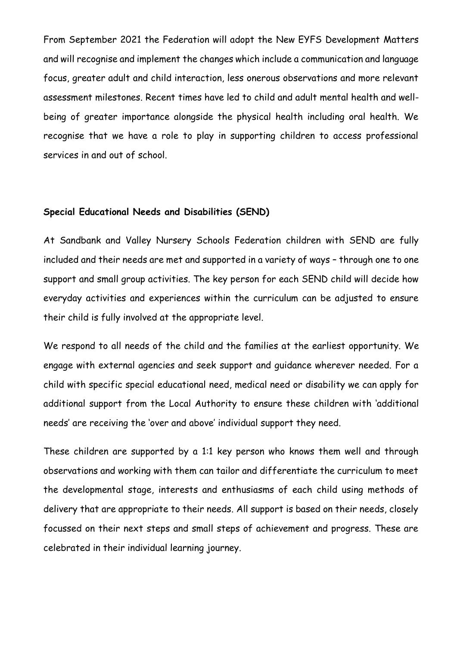From September 2021 the Federation will adopt the New EYFS Development Matters and will recognise and implement the changes which include a communication and language focus, greater adult and child interaction, less onerous observations and more relevant assessment milestones. Recent times have led to child and adult mental health and wellbeing of greater importance alongside the physical health including oral health. We recognise that we have a role to play in supporting children to access professional services in and out of school.

## **Special Educational Needs and Disabilities (SEND)**

At Sandbank and Valley Nursery Schools Federation children with SEND are fully included and their needs are met and supported in a variety of ways – through one to one support and small group activities. The key person for each SEND child will decide how everyday activities and experiences within the curriculum can be adjusted to ensure their child is fully involved at the appropriate level.

We respond to all needs of the child and the families at the earliest opportunity. We engage with external agencies and seek support and guidance wherever needed. For a child with specific special educational need, medical need or disability we can apply for additional support from the Local Authority to ensure these children with 'additional needs' are receiving the 'over and above' individual support they need.

These children are supported by a 1:1 key person who knows them well and through observations and working with them can tailor and differentiate the curriculum to meet the developmental stage, interests and enthusiasms of each child using methods of delivery that are appropriate to their needs. All support is based on their needs, closely focussed on their next steps and small steps of achievement and progress. These are celebrated in their individual learning journey.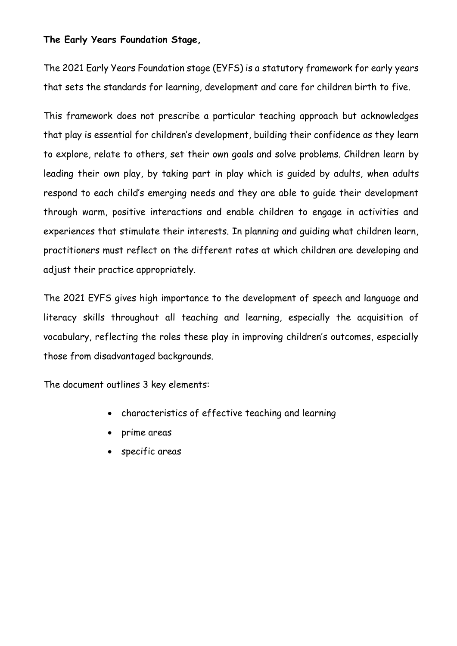## **The Early Years Foundation Stage,**

The 2021 Early Years Foundation stage (EYFS) is a statutory framework for early years that sets the standards for learning, development and care for children birth to five.

This framework does not prescribe a particular teaching approach but acknowledges that play is essential for children's development, building their confidence as they learn to explore, relate to others, set their own goals and solve problems. Children learn by leading their own play, by taking part in play which is guided by adults, when adults respond to each child's emerging needs and they are able to guide their development through warm, positive interactions and enable children to engage in activities and experiences that stimulate their interests. In planning and guiding what children learn, practitioners must reflect on the different rates at which children are developing and adjust their practice appropriately.

The 2021 EYFS gives high importance to the development of speech and language and literacy skills throughout all teaching and learning, especially the acquisition of vocabulary, reflecting the roles these play in improving children's outcomes, especially those from disadvantaged backgrounds.

The document outlines 3 key elements:

- characteristics of effective teaching and learning
- prime areas
- specific areas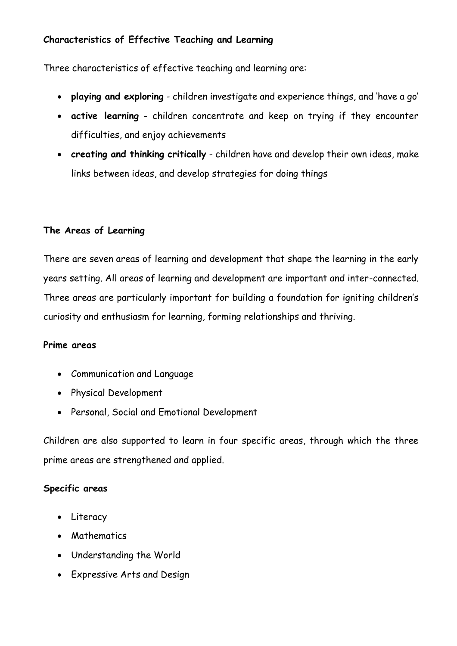# **Characteristics of Effective Teaching and Learning**

Three characteristics of effective teaching and learning are:

- **playing and exploring** children investigate and experience things, and 'have a go'
- **active learning** children concentrate and keep on trying if they encounter difficulties, and enjoy achievements
- **creating and thinking critically** children have and develop their own ideas, make links between ideas, and develop strategies for doing things

# **The Areas of Learning**

There are seven areas of learning and development that shape the learning in the early years setting. All areas of learning and development are important and inter-connected. Three areas are particularly important for building a foundation for igniting children's curiosity and enthusiasm for learning, forming relationships and thriving.

# **Prime areas**

- Communication and Language
- Physical Development
- Personal, Social and Emotional Development

Children are also supported to learn in four specific areas, through which the three prime areas are strengthened and applied.

# **Specific areas**

- Literacy
- Mathematics
- Understanding the World
- Expressive Arts and Design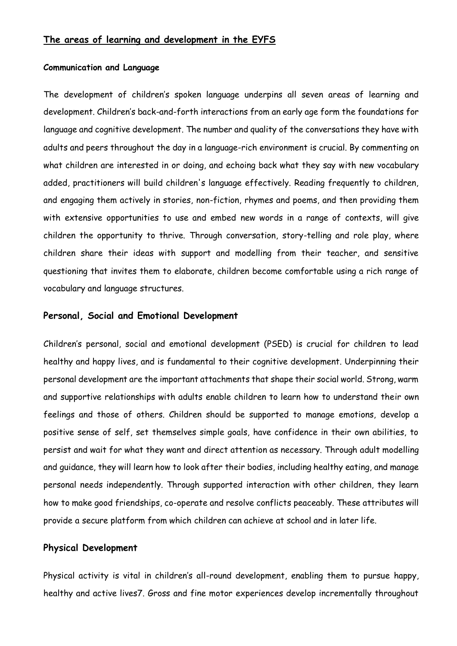#### **Communication and Language**

The development of children's spoken language underpins all seven areas of learning and development. Children's back-and-forth interactions from an early age form the foundations for language and cognitive development. The number and quality of the conversations they have with adults and peers throughout the day in a language-rich environment is crucial. By commenting on what children are interested in or doing, and echoing back what they say with new vocabulary added, practitioners will build children's language effectively. Reading frequently to children, and engaging them actively in stories, non-fiction, rhymes and poems, and then providing them with extensive opportunities to use and embed new words in a range of contexts, will give children the opportunity to thrive. Through conversation, story-telling and role play, where children share their ideas with support and modelling from their teacher, and sensitive questioning that invites them to elaborate, children become comfortable using a rich range of vocabulary and language structures.

### **Personal, Social and Emotional Development**

Children's personal, social and emotional development (PSED) is crucial for children to lead healthy and happy lives, and is fundamental to their cognitive development. Underpinning their personal development are the important attachments that shape their social world. Strong, warm and supportive relationships with adults enable children to learn how to understand their own feelings and those of others. Children should be supported to manage emotions, develop a positive sense of self, set themselves simple goals, have confidence in their own abilities, to persist and wait for what they want and direct attention as necessary. Through adult modelling and guidance, they will learn how to look after their bodies, including healthy eating, and manage personal needs independently. Through supported interaction with other children, they learn how to make good friendships, co-operate and resolve conflicts peaceably. These attributes will provide a secure platform from which children can achieve at school and in later life.

### **Physical Development**

Physical activity is vital in children's all-round development, enabling them to pursue happy, healthy and active lives7. Gross and fine motor experiences develop incrementally throughout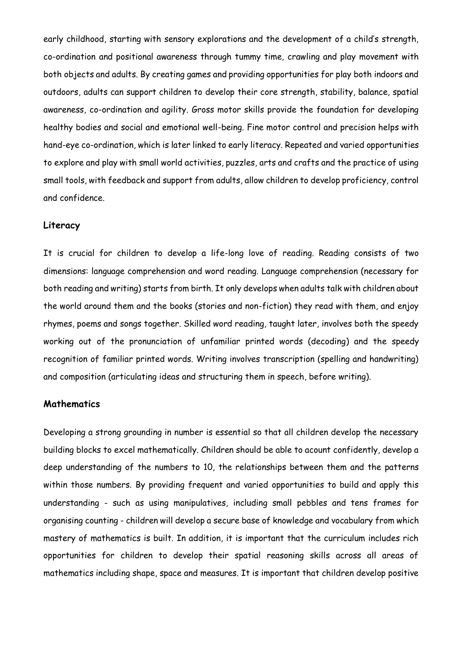early childhood, starting with sensory explorations and the development of a child's strength, co-ordination and positional awareness through tummy time, crawling and play movement with both objects and adults. By creating games and providing opportunities for play both indoors and outdoors, adults can support children to develop their core strength, stability, balance, spatial awareness, co-ordination and agility. Gross motor skills provide the foundation for developing healthy bodies and social and emotional well-being. Fine motor control and precision helps with hand-eye co-ordination, which is later linked to early literacy. Repeated and varied opportunities to explore and play with small world activities, puzzles, arts and crafts and the practice of using small tools, with feedback and support from adults, allow children to develop proficiency, control and confidence.

#### **Literacy**

It is crucial for children to develop a life-long love of reading. Reading consists of two dimensions: language comprehension and word reading. Language comprehension (necessary for both reading and writing) starts from birth. It only develops when adults talk with children about the world around them and the books (stories and non-fiction) they read with them, and enjoy rhymes, poems and songs together. Skilled word reading, taught later, involves both the speedy working out of the pronunciation of unfamiliar printed words (decoding) and the speedy recognition of familiar printed words. Writing involves transcription (spelling and handwriting) and composition (articulating ideas and structuring them in speech, before writing).

### **Mathematics**

Developing a strong grounding in number is essential so that all children develop the necessary building blocks to excel mathematically. Children should be able to acount confidently, develop a deep understanding of the numbers to 10, the relationships between them and the patterns within those numbers. By providing frequent and varied opportunities to build and apply this understanding - such as using manipulatives, including small pebbles and tens frames for organising counting - children will develop a secure base of knowledge and vocabulary from which mastery of mathematics is built. In addition, it is important that the curriculum includes rich opportunities for children to develop their spatial reasoning skills across all areas of mathematics including shape, space and measures. It is important that children develop positive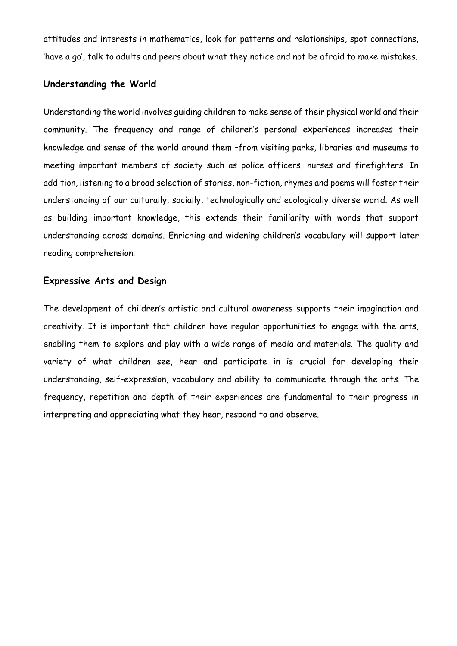attitudes and interests in mathematics, look for patterns and relationships, spot connections, 'have a go', talk to adults and peers about what they notice and not be afraid to make mistakes.

## **Understanding the World**

Understanding the world involves guiding children to make sense of their physical world and their community. The frequency and range of children's personal experiences increases their knowledge and sense of the world around them –from visiting parks, libraries and museums to meeting important members of society such as police officers, nurses and firefighters. In addition, listening to a broad selection of stories, non-fiction, rhymes and poems will foster their understanding of our culturally, socially, technologically and ecologically diverse world. As well as building important knowledge, this extends their familiarity with words that support understanding across domains. Enriching and widening children's vocabulary will support later reading comprehension.

#### **Expressive Arts and Design**

The development of children's artistic and cultural awareness supports their imagination and creativity. It is important that children have regular opportunities to engage with the arts, enabling them to explore and play with a wide range of media and materials. The quality and variety of what children see, hear and participate in is crucial for developing their understanding, self-expression, vocabulary and ability to communicate through the arts. The frequency, repetition and depth of their experiences are fundamental to their progress in interpreting and appreciating what they hear, respond to and observe.